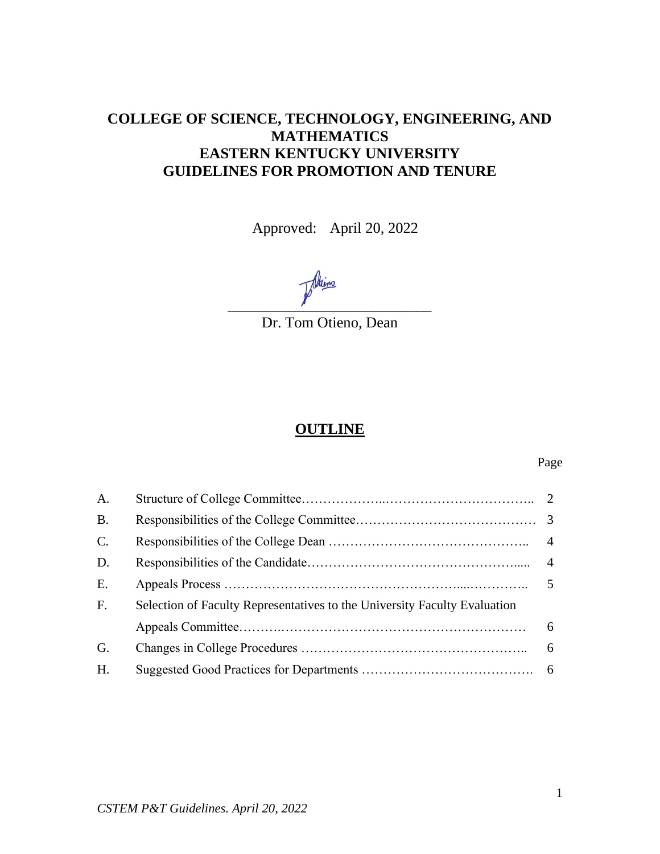# **COLLEGE OF SCIENCE, TECHNOLOGY, ENGINEERING, AND MATHEMATICS EASTERN KENTUCKY UNIVERSITY GUIDELINES FOR PROMOTION AND TENURE**

Approved: April 20, 2022

Altino \_\_\_\_\_\_\_\_\_\_\_\_\_\_\_\_\_\_\_\_\_\_\_\_\_\_\_

Dr. Tom Otieno, Dean

# **OUTLINE**

#### Page

| A.          |                                                                           |  |
|-------------|---------------------------------------------------------------------------|--|
| B.          |                                                                           |  |
| $C_{\cdot}$ |                                                                           |  |
| D.          |                                                                           |  |
| E.          |                                                                           |  |
| F.          | Selection of Faculty Representatives to the University Faculty Evaluation |  |
|             |                                                                           |  |
| G.          |                                                                           |  |
| H.          |                                                                           |  |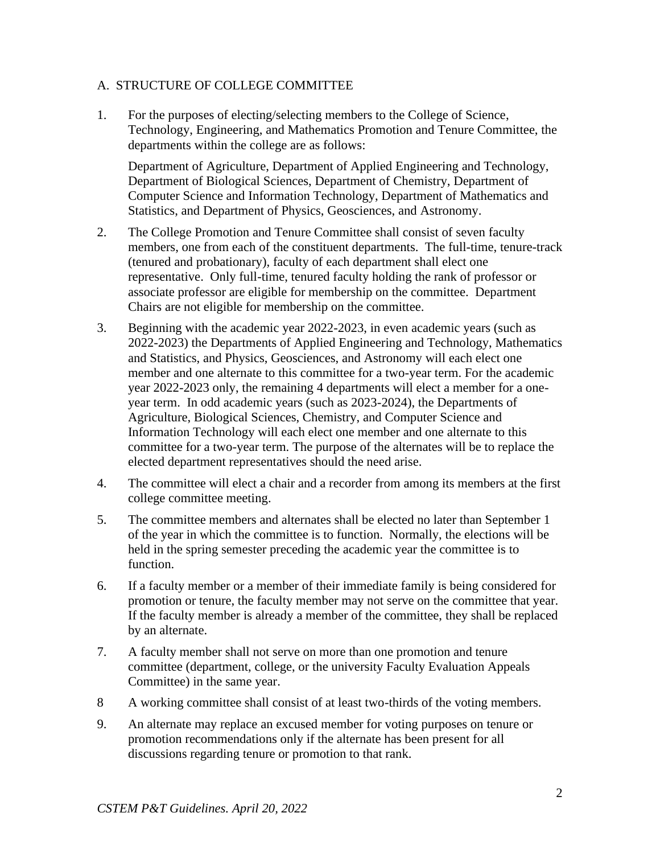#### A. STRUCTURE OF COLLEGE COMMITTEE

1. For the purposes of electing/selecting members to the College of Science, Technology, Engineering, and Mathematics Promotion and Tenure Committee, the departments within the college are as follows:

Department of Agriculture, Department of Applied Engineering and Technology, Department of Biological Sciences, Department of Chemistry, Department of Computer Science and Information Technology, Department of Mathematics and Statistics, and Department of Physics, Geosciences, and Astronomy.

- 2. The College Promotion and Tenure Committee shall consist of seven faculty members, one from each of the constituent departments. The full-time, tenure-track (tenured and probationary), faculty of each department shall elect one representative. Only full-time, tenured faculty holding the rank of professor or associate professor are eligible for membership on the committee. Department Chairs are not eligible for membership on the committee.
- 3. Beginning with the academic year 2022-2023, in even academic years (such as 2022-2023) the Departments of Applied Engineering and Technology, Mathematics and Statistics, and Physics, Geosciences, and Astronomy will each elect one member and one alternate to this committee for a two-year term. For the academic year 2022-2023 only, the remaining 4 departments will elect a member for a oneyear term. In odd academic years (such as 2023-2024), the Departments of Agriculture, Biological Sciences, Chemistry, and Computer Science and Information Technology will each elect one member and one alternate to this committee for a two-year term. The purpose of the alternates will be to replace the elected department representatives should the need arise.
- 4. The committee will elect a chair and a recorder from among its members at the first college committee meeting.
- 5. The committee members and alternates shall be elected no later than September 1 of the year in which the committee is to function. Normally, the elections will be held in the spring semester preceding the academic year the committee is to function.
- 6. If a faculty member or a member of their immediate family is being considered for promotion or tenure, the faculty member may not serve on the committee that year. If the faculty member is already a member of the committee, they shall be replaced by an alternate.
- 7. A faculty member shall not serve on more than one promotion and tenure committee (department, college, or the university Faculty Evaluation Appeals Committee) in the same year.
- 8 A working committee shall consist of at least two-thirds of the voting members.
- 9. An alternate may replace an excused member for voting purposes on tenure or promotion recommendations only if the alternate has been present for all discussions regarding tenure or promotion to that rank.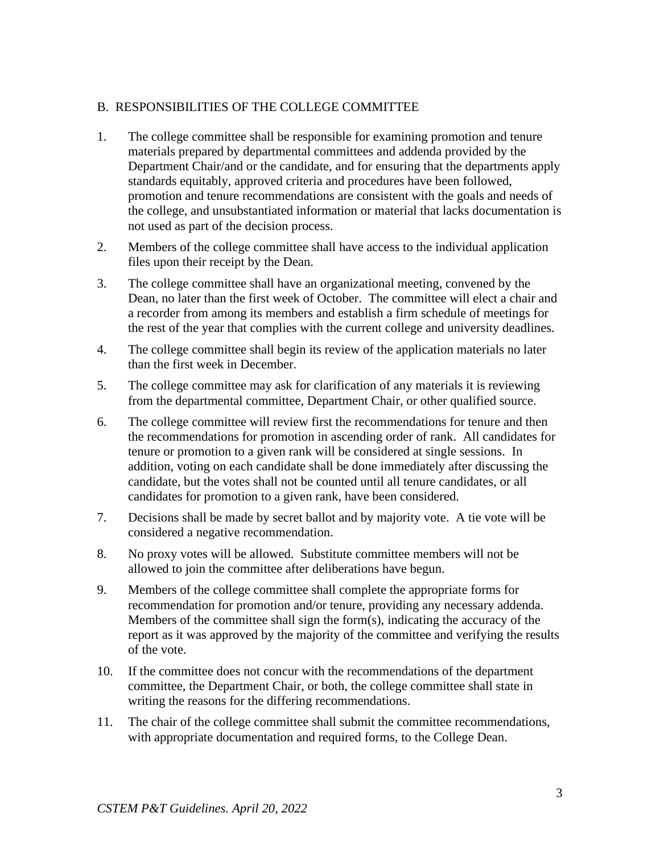### B. RESPONSIBILITIES OF THE COLLEGE COMMITTEE

- 1. The college committee shall be responsible for examining promotion and tenure materials prepared by departmental committees and addenda provided by the Department Chair/and or the candidate, and for ensuring that the departments apply standards equitably, approved criteria and procedures have been followed, promotion and tenure recommendations are consistent with the goals and needs of the college, and unsubstantiated information or material that lacks documentation is not used as part of the decision process.
- 2. Members of the college committee shall have access to the individual application files upon their receipt by the Dean.
- 3. The college committee shall have an organizational meeting, convened by the Dean, no later than the first week of October. The committee will elect a chair and a recorder from among its members and establish a firm schedule of meetings for the rest of the year that complies with the current college and university deadlines.
- 4. The college committee shall begin its review of the application materials no later than the first week in December.
- 5. The college committee may ask for clarification of any materials it is reviewing from the departmental committee, Department Chair, or other qualified source.
- 6. The college committee will review first the recommendations for tenure and then the recommendations for promotion in ascending order of rank. All candidates for tenure or promotion to a given rank will be considered at single sessions. In addition, voting on each candidate shall be done immediately after discussing the candidate, but the votes shall not be counted until all tenure candidates, or all candidates for promotion to a given rank, have been considered.
- 7. Decisions shall be made by secret ballot and by majority vote. A tie vote will be considered a negative recommendation.
- 8. No proxy votes will be allowed. Substitute committee members will not be allowed to join the committee after deliberations have begun.
- 9. Members of the college committee shall complete the appropriate forms for recommendation for promotion and/or tenure, providing any necessary addenda. Members of the committee shall sign the form(s), indicating the accuracy of the report as it was approved by the majority of the committee and verifying the results of the vote.
- 10. If the committee does not concur with the recommendations of the department committee, the Department Chair, or both, the college committee shall state in writing the reasons for the differing recommendations.
- 11. The chair of the college committee shall submit the committee recommendations, with appropriate documentation and required forms, to the College Dean.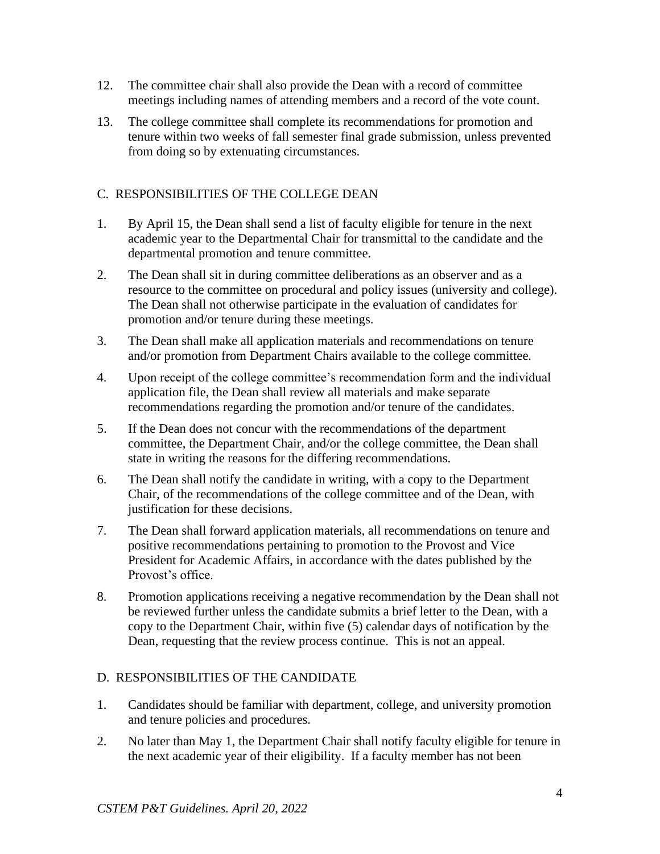- 12. The committee chair shall also provide the Dean with a record of committee meetings including names of attending members and a record of the vote count.
- 13. The college committee shall complete its recommendations for promotion and tenure within two weeks of fall semester final grade submission, unless prevented from doing so by extenuating circumstances.

## C. RESPONSIBILITIES OF THE COLLEGE DEAN

- 1. By April 15, the Dean shall send a list of faculty eligible for tenure in the next academic year to the Departmental Chair for transmittal to the candidate and the departmental promotion and tenure committee.
- 2. The Dean shall sit in during committee deliberations as an observer and as a resource to the committee on procedural and policy issues (university and college). The Dean shall not otherwise participate in the evaluation of candidates for promotion and/or tenure during these meetings.
- 3. The Dean shall make all application materials and recommendations on tenure and/or promotion from Department Chairs available to the college committee.
- 4. Upon receipt of the college committee's recommendation form and the individual application file, the Dean shall review all materials and make separate recommendations regarding the promotion and/or tenure of the candidates.
- 5. If the Dean does not concur with the recommendations of the department committee, the Department Chair, and/or the college committee, the Dean shall state in writing the reasons for the differing recommendations.
- 6. The Dean shall notify the candidate in writing, with a copy to the Department Chair, of the recommendations of the college committee and of the Dean, with justification for these decisions.
- 7. The Dean shall forward application materials, all recommendations on tenure and positive recommendations pertaining to promotion to the Provost and Vice President for Academic Affairs, in accordance with the dates published by the Provost's office.
- 8. Promotion applications receiving a negative recommendation by the Dean shall not be reviewed further unless the candidate submits a brief letter to the Dean, with a copy to the Department Chair, within five (5) calendar days of notification by the Dean, requesting that the review process continue. This is not an appeal.

## D. RESPONSIBILITIES OF THE CANDIDATE

- 1. Candidates should be familiar with department, college, and university promotion and tenure policies and procedures.
- 2. No later than May 1, the Department Chair shall notify faculty eligible for tenure in the next academic year of their eligibility. If a faculty member has not been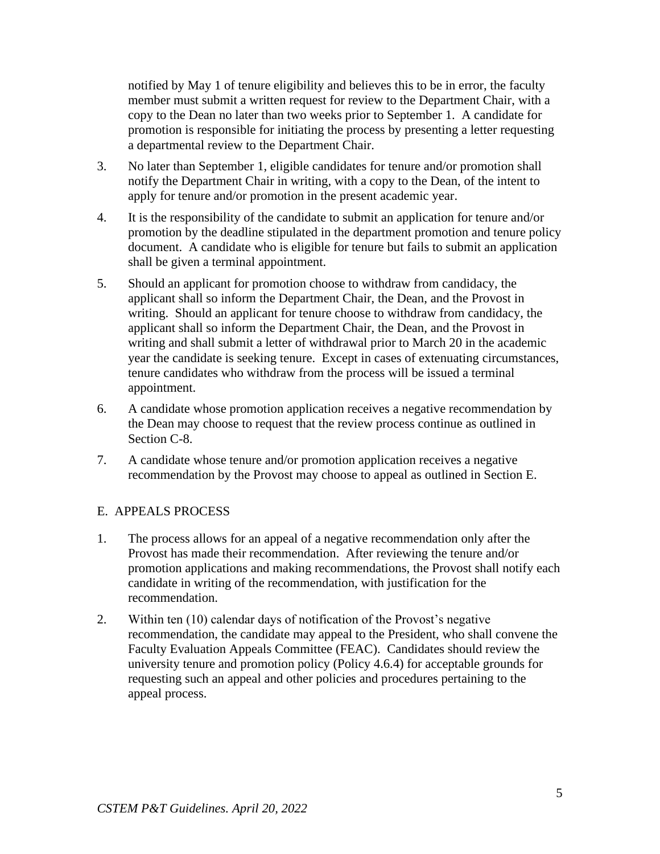notified by May 1 of tenure eligibility and believes this to be in error, the faculty member must submit a written request for review to the Department Chair, with a copy to the Dean no later than two weeks prior to September 1. A candidate for promotion is responsible for initiating the process by presenting a letter requesting a departmental review to the Department Chair.

- 3. No later than September 1, eligible candidates for tenure and/or promotion shall notify the Department Chair in writing, with a copy to the Dean, of the intent to apply for tenure and/or promotion in the present academic year.
- 4. It is the responsibility of the candidate to submit an application for tenure and/or promotion by the deadline stipulated in the department promotion and tenure policy document. A candidate who is eligible for tenure but fails to submit an application shall be given a terminal appointment.
- 5. Should an applicant for promotion choose to withdraw from candidacy, the applicant shall so inform the Department Chair, the Dean, and the Provost in writing. Should an applicant for tenure choose to withdraw from candidacy, the applicant shall so inform the Department Chair, the Dean, and the Provost in writing and shall submit a letter of withdrawal prior to March 20 in the academic year the candidate is seeking tenure. Except in cases of extenuating circumstances, tenure candidates who withdraw from the process will be issued a terminal appointment.
- 6. A candidate whose promotion application receives a negative recommendation by the Dean may choose to request that the review process continue as outlined in Section C-8.
- 7. A candidate whose tenure and/or promotion application receives a negative recommendation by the Provost may choose to appeal as outlined in Section E.

### E. APPEALS PROCESS

- 1. The process allows for an appeal of a negative recommendation only after the Provost has made their recommendation. After reviewing the tenure and/or promotion applications and making recommendations, the Provost shall notify each candidate in writing of the recommendation, with justification for the recommendation.
- 2. Within ten (10) calendar days of notification of the Provost's negative recommendation, the candidate may appeal to the President, who shall convene the Faculty Evaluation Appeals Committee (FEAC). Candidates should review the university tenure and promotion policy (Policy 4.6.4) for acceptable grounds for requesting such an appeal and other policies and procedures pertaining to the appeal process.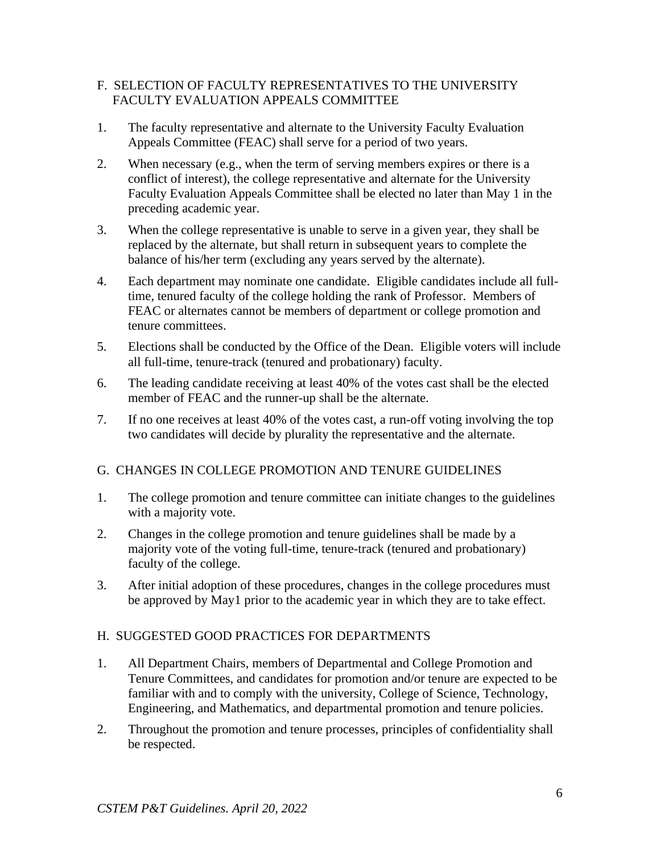### F. SELECTION OF FACULTY REPRESENTATIVES TO THE UNIVERSITY FACULTY EVALUATION APPEALS COMMITTEE

- 1. The faculty representative and alternate to the University Faculty Evaluation Appeals Committee (FEAC) shall serve for a period of two years.
- 2. When necessary (e.g., when the term of serving members expires or there is a conflict of interest), the college representative and alternate for the University Faculty Evaluation Appeals Committee shall be elected no later than May 1 in the preceding academic year.
- 3. When the college representative is unable to serve in a given year, they shall be replaced by the alternate, but shall return in subsequent years to complete the balance of his/her term (excluding any years served by the alternate).
- 4. Each department may nominate one candidate. Eligible candidates include all fulltime, tenured faculty of the college holding the rank of Professor. Members of FEAC or alternates cannot be members of department or college promotion and tenure committees.
- 5. Elections shall be conducted by the Office of the Dean. Eligible voters will include all full-time, tenure-track (tenured and probationary) faculty.
- 6. The leading candidate receiving at least 40% of the votes cast shall be the elected member of FEAC and the runner-up shall be the alternate.
- 7. If no one receives at least 40% of the votes cast, a run-off voting involving the top two candidates will decide by plurality the representative and the alternate.

### G. CHANGES IN COLLEGE PROMOTION AND TENURE GUIDELINES

- 1. The college promotion and tenure committee can initiate changes to the guidelines with a majority vote.
- 2. Changes in the college promotion and tenure guidelines shall be made by a majority vote of the voting full-time, tenure-track (tenured and probationary) faculty of the college.
- 3. After initial adoption of these procedures, changes in the college procedures must be approved by May1 prior to the academic year in which they are to take effect.

### H. SUGGESTED GOOD PRACTICES FOR DEPARTMENTS

- 1. All Department Chairs, members of Departmental and College Promotion and Tenure Committees, and candidates for promotion and/or tenure are expected to be familiar with and to comply with the university, College of Science, Technology, Engineering, and Mathematics, and departmental promotion and tenure policies.
- 2. Throughout the promotion and tenure processes, principles of confidentiality shall be respected.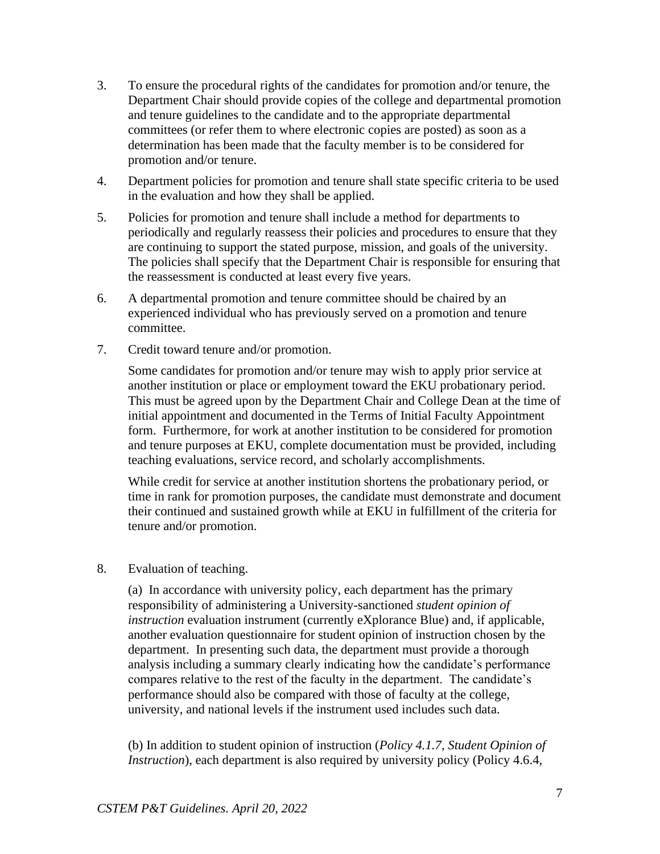- 3. To ensure the procedural rights of the candidates for promotion and/or tenure, the Department Chair should provide copies of the college and departmental promotion and tenure guidelines to the candidate and to the appropriate departmental committees (or refer them to where electronic copies are posted) as soon as a determination has been made that the faculty member is to be considered for promotion and/or tenure.
- 4. Department policies for promotion and tenure shall state specific criteria to be used in the evaluation and how they shall be applied.
- 5. Policies for promotion and tenure shall include a method for departments to periodically and regularly reassess their policies and procedures to ensure that they are continuing to support the stated purpose, mission, and goals of the university. The policies shall specify that the Department Chair is responsible for ensuring that the reassessment is conducted at least every five years.
- 6. A departmental promotion and tenure committee should be chaired by an experienced individual who has previously served on a promotion and tenure committee.
- 7. Credit toward tenure and/or promotion.

Some candidates for promotion and/or tenure may wish to apply prior service at another institution or place or employment toward the EKU probationary period. This must be agreed upon by the Department Chair and College Dean at the time of initial appointment and documented in the Terms of Initial Faculty Appointment form. Furthermore, for work at another institution to be considered for promotion and tenure purposes at EKU, complete documentation must be provided, including teaching evaluations, service record, and scholarly accomplishments.

While credit for service at another institution shortens the probationary period, or time in rank for promotion purposes, the candidate must demonstrate and document their continued and sustained growth while at EKU in fulfillment of the criteria for tenure and/or promotion.

#### 8. Evaluation of teaching.

(a)In accordance with university policy, each department has the primary responsibility of administering a University-sanctioned *student opinion of instruction* evaluation instrument (currently eXplorance Blue) and, if applicable, another evaluation questionnaire for student opinion of instruction chosen by the department. In presenting such data, the department must provide a thorough analysis including a summary clearly indicating how the candidate's performance compares relative to the rest of the faculty in the department. The candidate's performance should also be compared with those of faculty at the college, university, and national levels if the instrument used includes such data.

(b) In addition to student opinion of instruction (*Policy 4.1.7, Student Opinion of Instruction*), each department is also required by university policy (Policy 4.6.4,